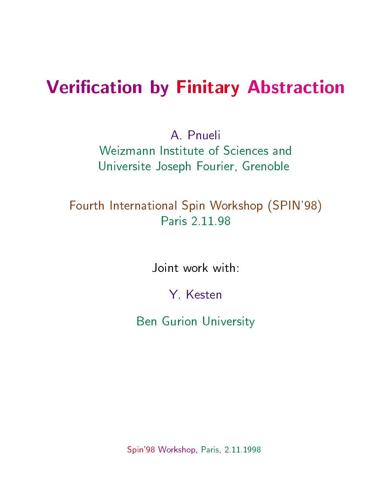# **Verification by Finitary Abstraction**

A Pnueli Weizmann Institute of Sciences and Universite Joseph Fourier, Grenoble

#### Fourth International Spin Workshop (SPIN'98) Paris 2.11.98

Joint work with:

Y Kesten

Ben Gurion University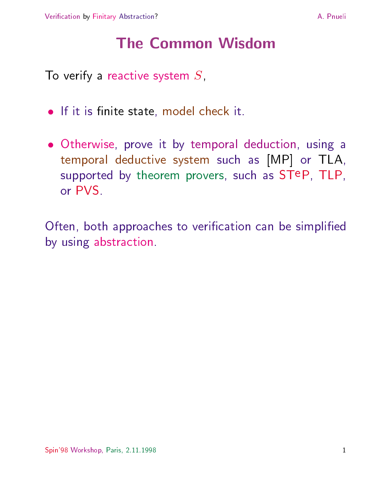# **The Common Wisdom**

To verify a reactive system  $S$ ,

- $\bullet$  If it is finite state, model check it.
- $\bullet$  Otherwise, prove it by temporal deduction, using a temporal deductive system such as [MP] or TLA, supported by theorem provers, such as STeP, TLP, or PVS.

Often, both approaches to verification can be simplified by using abstraction.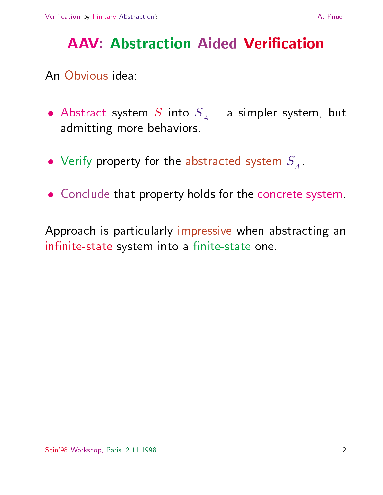# **AAV: Abstraction Aided Verification**

An Obvious idea:

- $\bullet$  Abstract system  $S$  into  $S_A^+$  = a simpler system, but admitting more behaviors.
- $\bullet$  verify property for the abstracted system  $\mathcal{S}_A$ .
- $\bullet$  -Conclude that property holds for the concrete system.

Approach is particularly impressive when abstracting an infinite-state system into a finite-state one.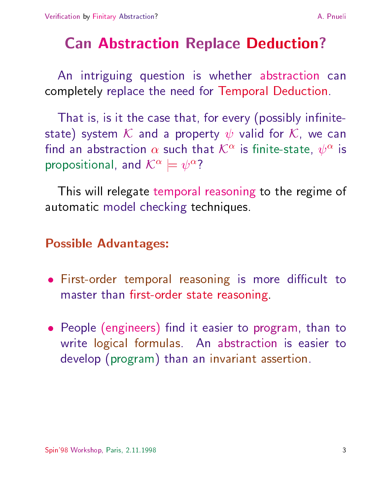# Can Abstraction Replace Deduction?

An intriguing question is whether abstraction can completely replace the need for Temporal Deduction.

That is, is it the case that, for every (possibly infinitestate) system K and a property  $\psi$  valid for K, we can find an abstraction  $\alpha$  such that  $\mathcal{K}^*$  is finite-state,  $\psi^*$  is propositional, and  $\mathcal{N}^{\pm} \equiv \psi^{\mp}$  !

This will relegate temporal reasoning to the regime of automatic model checking techniques.

#### Possible Advantages:

- $\bullet$  First-order temporal reasoning is more difficult to  $\bullet$ master than first-order state reasoning
- $\bullet$  -people (engineers) tind it easier to program, than to  $\bullet$ write logical formulas. An abstraction is easier to develop (program) than an invariant assertion.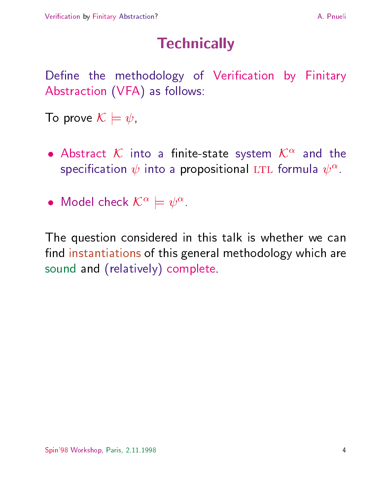# **Technically**

Define the methodology of Verification by Finitary Abstraction (VFA) as follows:

To prove  $\mathcal{K} \models \psi$ ,

- $\bullet$  Abstract  $\mathcal{N}$  into a linite-state system  $\mathcal{N}^+$  and the specification  $\psi$  into a propositional LTL formula  $\psi^{\pm}$ .
- $\bullet$  iviodel check  $\mathcal{N}^{\ast} \models \psi^{\ast}.$

The question considered in this talk is whether we can find instantiations of this general methodology which are sound and (relatively) complete.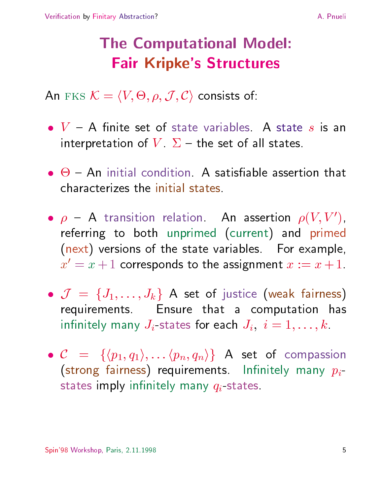# The Computational Model: Fair Kripke's Structures

AN FKS  $\mathcal{N} \equiv \langle V, \mathbf{\nabla}, \theta, J, \mathbf{C} \rangle$  consists of:

- $\bullet\,$  V  $\,$   $\,$   $\,$   $\,$  A  $\,$  finite set of state variables. A state  $s$  is an interpretation of  $V \Sigma$  - the set of all states.
- $\bullet$   $\Theta$  An initial condition. A satisfiable assertion that
- $\bullet$   $\rho$   $\sim$  A transition relation. An assertion  $\rho(V, V_+)$ , where  $\sim$ referring to both unprimed (current) and primed (next) versions of the state variables. For example,  $x = x + 1$  corresponds to the assignment  $x := x + 1$ .
- <sup>J</sup> <sup>=</sup> fJ1;:::;Jkg A set of justice (weak fairness) requirements. Ensure that a computation has infinitely many  $J_i$ -states for each  $J_i, i = 1,\ldots,k$ .
- $\bullet$  C  $=$   $\{(\mathcal{p}_1, q_1), \ldots (\mathcal{p}_n, q_n)\}\;$  A set of compassion (strong fairness) requirements. Infinitely many  $p_i$ states imply infinitely many  $q_i$ -states.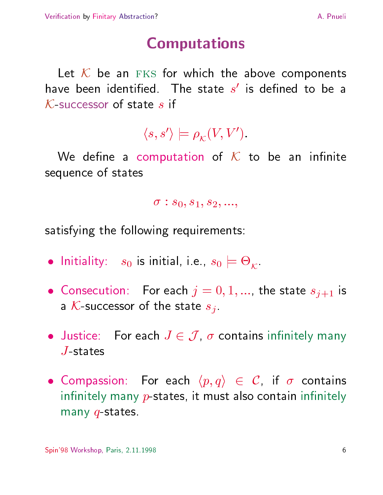#### A. Pnueli

# Computations

Let  ${\cal K}$  be an  $_{\rm FKS}$  for which the above components have been identified. The state  $s$  is defined to be a  $K$ -successor of state s if

$$
\langle s, s' \rangle \models \rho_{\mathcal{K}}(V, V').
$$

We define a computation of  $K$  to be an infinite sequence of states

$$
\sigma:s_0,s_1,s_2,...,
$$

satisfying the following requirements:

- $\bullet$  initiality:  $s_0$  is initial, i.e.,  $s_0 \models \Theta_\mathcal{K}$ .
- Consecution: For each  $j = 0, 1, ...$ , the state  $s_{j+1}$  is a K-successor of the state  $s_j$ .
- $\bullet$  Justice: For each  $J \in J / \sigma$  contains infinitely many  $J$ -states
- $\bullet$  Compassion: For each  $\langle p,q \rangle$   $\in$  C, if  $\sigma$  contains infinitely many  $p$ -states, it must also contain infinitely many  $q$ -states.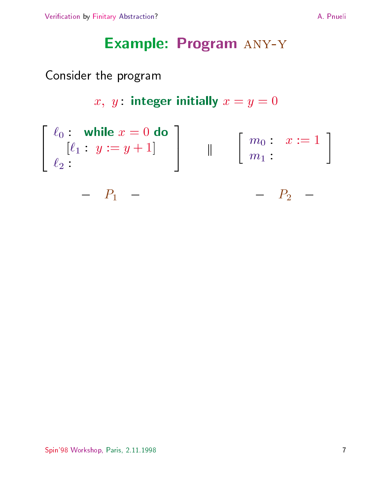### Example: Program any-y

#### Consider the program

$$
x, y: \text{ integer initially } x = y = 0
$$

$$
\begin{bmatrix}\n\ell_0: \text{ while } x = 0 \text{ do} \\
[\ell_1: y := y + 1] \\
\ell_2: \n\end{bmatrix} \quad \parallel \quad \begin{bmatrix}\nm_0: x := 1 \\
m_1: \n\end{bmatrix}
$$
\n
$$
- P_1 - - - P_2 -
$$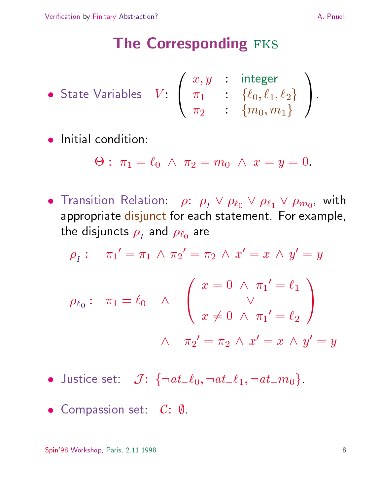#### The Corresponding FKS

- State Variables  $V: \left( \begin{array}{ccc} x, y & : & \mathsf{integ}(x) \ \pi_1 & : & \{\ell_0, \ell\} \end{array} \right)$ x; y : integer  $\pi_1$  : { $\ell_0, \ell_1, \ell_2$ } |  $\pi_2$  :  $\{m_0, m_1\}$  /  $\mathbf{1}$ State variables  $v : \begin{pmatrix} n_1 & \cdots & \{v_0, v_1, v_2\} \\ \pi_2 & \vdots & \{m_0, m_1\} \end{pmatrix}$
- 

$$
\Theta: \; \pi_1 = \ell_0 \; \wedge \; \pi_2 = m_0 \; \wedge \; x = y = 0.
$$

 $\bullet$  Transition Relation:  $\rho\colon\ \rho_{I}^{}\,\vee\,\rho_{\ell_0}^{}\,\vee\,\rho_{\ell_1}^{}\,\vee\,\rho_{m_0}^{} ,$  with appropriate disjunct for each statement. For example,  $\mathbf{r}$  and  $\mathbf{r}$  are  $\mathbf{r}$  and  $\mathbf{r}$  are  $\mathbf{r}$ 

$$
\rho_{I}: \quad \pi_{1}' = \pi_{1} \land \pi_{2}' = \pi_{2} \land x' = x \land y' = y
$$
\n
$$
\rho_{\ell_{0}}: \quad \pi_{1} = \ell_{0} \quad \land \quad \begin{pmatrix} x = 0 \land \pi_{1}' = \ell_{1} \\ \lor \\ x \neq 0 \land \pi_{1}' = \ell_{2} \end{pmatrix}
$$
\n
$$
\land \quad \pi_{2}' = \pi_{2} \land x' = x \land y' = y
$$

- USLICE SEL:  $J: \{\neg \mathit{a}\iota_-\mathit{l}_0, \neg \mathit{a}\iota_-\mathit{l}_1, \neg \mathit{a}\iota_-\mathit{m}_0\}$
- $\bullet$  compassion set: C: W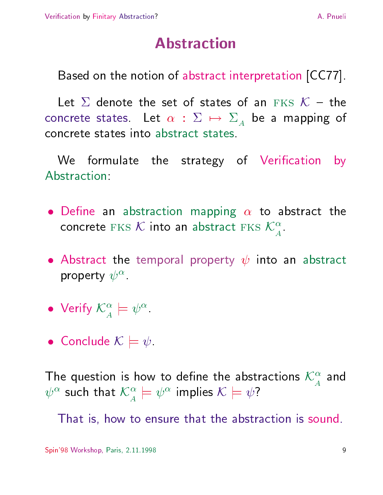# **Abstraction**

Based on the notion of abstract interpretation [CC77].

Let  $\Sigma$  denote the set of states of an  $\text{FKS}$   $\mathcal{K}$  – the concrete states. Let  $\alpha : \Sigma \mapsto \Sigma_A$  be a mapping of concrete states into abstract states.

We formulate the strategy of Verification by Abstraction:

- $\bullet$  Define an abstraction mapping  $\alpha$  to abstract the concrete  $fKS$   $\mathcal{N}$  into an abstract  $fKS$   $\mathcal{N}$  . The concrete  $f$
- $\bullet$  Abstract the temporal property  $\psi$  into an abstract property  $\psi$ .
- $\bullet$  verify  $\mathcal{N}^{\circ} \models \psi^{\circ}$
- $\bullet$  conclude  $\mathcal{N} \models \psi$

The question is now to define the abstractions  $\mathcal{N}^+$  and  $\mathbb{C}^{\infty}$  such that  $\mathcal{K}^{\infty} \models \mathbb{C}^{\infty}$  implies  $\mathcal{K} \models \mathbb{C}$  !

That is, how to ensure that the abstraction is sound.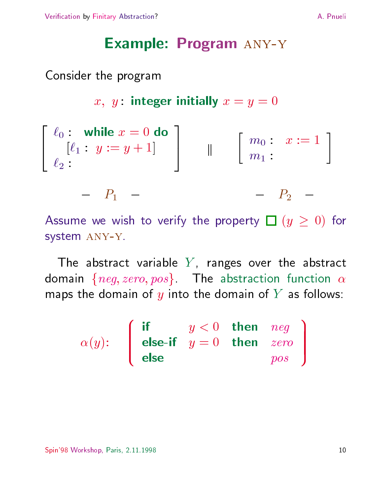#### Example: Program any-y

#### Consider the program

x, y: integer initially  $x = y = 0$ and the contract of the contract of the contract of the contract of the contract of the contract of the contract of the contract of the contract of the contract of the contract of the contract of the contract of the contra 4  $\sim$  0  $\sim$  0 do  $\sim$  0 do  $\sim$  0 do  $\sim$  0 do  $\sim$  0 do  $\sim$  0 do  $\sim$  0 do  $\sim$  0 do  $\sim$  0 do  $\sim$  0 do  $\sim$  0 do  $\sim$  0 do  $\sim$  0 do  $\sim$  0 do  $\sim$  0 do  $\sim$  0 do  $\sim$  0 do  $\sim$  0 do  $\sim$  0 do  $\sim$  0 do  $\sim$  0 do  $\sim$  $[\lvert \cdot \rvert : g \rvert := g + 1$  | | | `2and the contract of the contract of the contract of the contract of the contract of the contract of the contract of the contract of the contract of the contract of the contract of the contract of the contract of the contra  $\mathbf{v} \cdot \mathbf{v} = \mathbf{v}$  $m_0: x:=1$ <br> $m_1:$  $r_1$   $P_2$   $-$ 

Assume we wish to verify the property  $\Box$  ( $y \ge 0$ ) for system any-y.

The abstract variable  $Y$ , ranges over the abstract domain  $\{neg, zero, pos\}$ . The abstraction function  $\alpha$ maps the domain of y into the domain of Y as follows:

$$
\alpha(y): \quad \left( \begin{array}{ccc} \text{if} & y < 0 & \text{then} & neg \\ \text{else} & y = 0 & \text{then} & zero \\ \text{else} & \text{pos} \end{array} \right)
$$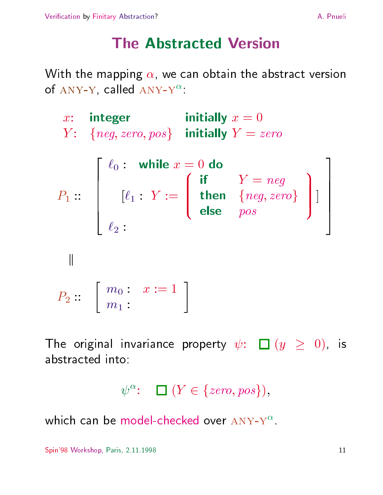### **The Abstracted Version**

With the mapping  $\alpha$ , we can obtain the abstract version of  $\overline{A}NY-Y$ , called  $\overline{A}NY-Y$ 

x: integer initially <sup>x</sup> <sup>=</sup> <sup>0</sup>  $Y: \neg A \textit{need}, \textit{zero}, \textit{pos} \longleftarrow \textbf{initial}$  initially  $Y \equiv \textit{zero}$ P1 :: and the contract of the contract of the contract of the contract of the contract of the contract of the contract of the contract of the contract of the contract of the contract of the contract of the contract of the contra en de la companya de la companya de la companya de la companya de la companya de la companya de la companya de e de la construction de la construction de la construction de la construction de la construction de la construction de la construction de la construction de la construction de la construction de la construction de la cons 6 e de la construction de la construction de la construction de la construction de la construction de la construction de la construction de la construction de la construction de la construction de la construction de la cons and the contract of the contract of the contract of the contract of the contract of the contract of the contract of the contract of the contract of the contract of the contract of the contract of the contract of the contra  $\cdot$  0  $\cdot$  = 0  $\cdot$  = 0  $\cdot$  = 0  $\cdot$  = 0  $\cdot$  = 0  $\cdot$  = 0  $\cdot$  = 0  $\cdot$  = 0  $\cdot$  = 0  $\cdot$  = 0  $\cdot$  = 0  $\cdot$  = 0  $\cdot$  = 0  $\cdot$  = 0  $\cdot$  = 0  $\cdot$  = 0  $\cdot$  = 0  $\cdot$  = 0  $\cdot$  = 0  $\cdot$  = 0  $\cdot$  = 0  $\cdot$  = 0  $\cdot$  = 0  $\cdot$  =  $\blacksquare$  :  $\blacksquare$  :  $\blacksquare$  :  $\blacksquare$  :  $\blacksquare$  :  $\blacksquare$  :  $\blacksquare$  :  $\blacksquare$  :  $\blacksquare$  :  $\blacksquare$ and the second contract of the second contract of the second contract of the second contract of the second contract of the second contract of the second contract of the second contract of the second contract of the second then  $\{neg, zero\}$  ] then  $\rightarrow$   $\mu$ eg;  $zero \rightarrow$  111 else pos en 1980 en 1990 en 1990 en 1990 en 1990 en 1990 en 1990 en 1990 en 1990 en 1990 en 1990 en 1990 en 1990 en 19  $|1|$  $\ell_2$ : and the contract of the contract of the contract of the contract of the contract of the contract of the contract of the contract of the contract of the contract of the contract of the contract of the contract of the contra The contract of the contract of the contract of the contract of the contract of the contract of the contract of The contract of the contract of the contract of the contract of the contract of the contract of the contract of The contract of the contract of the contract of the contract of the contract of the contract of the contract of The contract of the contract of the contract of the contract of the contract of the contract of the contract of the contract of the contract of the contract of the contract of the contract of the contract of the contract o  $P_2 :: \left[\begin{array}{cc} m_0: & x:=1\ m_1: & \end{array}\right]$ man and the state of the

The original invariance property  $\psi$ :  $\Box$  ( $y \ge 0$ ), is abstracted into:

$$
\psi^{\alpha} \colon \quad \blacksquare \; (Y \in \{\text{zero}, \text{pos}\}),
$$

which can be model-checked over  $ANY-Y^{\alpha}$ .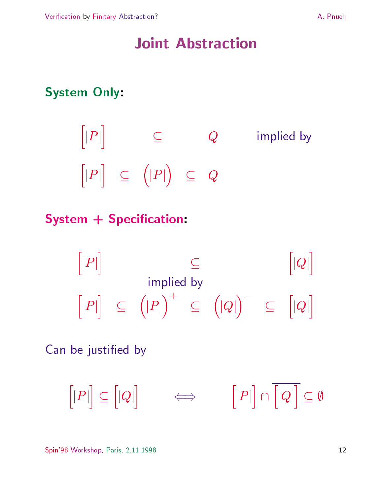### Joint Abstraction

#### System Only:

$$
[|P|] \subseteq Q \qquad \text{implied by}
$$
  

$$
[|P|] \subseteq (|P|) \subseteq Q
$$

### System + Specification:

$$
[|P|] \subseteq
$$
  
implied by  

$$
[|P|] \subseteq (|P|)^+ \subseteq (|Q|)^- \subseteq [|Q|]
$$

Can be justified by

 $[|P|] \subset [|Q|]$   $\Leftarrow$  $\lceil |Q| \rceil$   $\iff$  $\left[|P|\right] \cap \left[|Q|\right] \subset \emptyset$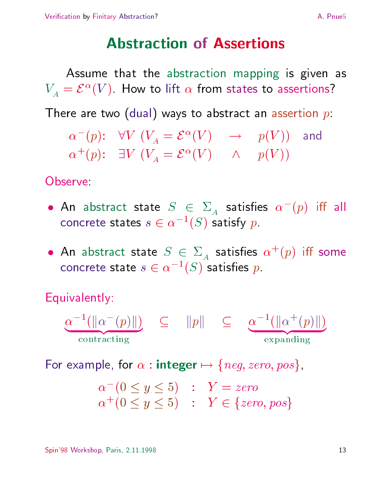### **Abstraction of Assertions**

Assume that the abstraction mapping is given as  $V_A = C^{-}(V)$ . How to filt  $\alpha$  from states to assertions! There are two (dual) ways to abstract an assertion  $p$ :  $\alpha$  (p):  $\forall v$  ( $v_A = c$  (v)  $\rightarrow$  p(v)) and

 $\alpha^{+}(p)$ :  $\exists V^{+}(V^{\perp}_{A} = \mathcal{E}^{+}(V^{+})$   $\wedge$   $p(V^{+})$ 

Observe

- $\bullet$  An abstract state  $\beta$   $\in$   $\mathcal{Z}_A$  satisfies  $\alpha$  ( $p$ ) iii all concrete states  $s \in \alpha^{-1}$  (  $\geq$  ) satisfy  $p$  . The set of  $\alpha$
- $\bullet$  An abstract state  $\Box \in \varSigma_A$  satisfies  $\alpha^+(\bar p)$  iff some concrete state  $s \in \alpha \text{ (S)}$  satisfies  $p$ .

Equivalently:

 $\alpha$  ( $\alpha$  ( $p$ ) $\alpha$ ) ( $\alpha$ ) | {z } contraction of the contraction of the contraction of the contraction of the contract of the contract of the contract of the contract of the contract of the contract of the contract of the contract of the contract of the co  $\subset$   $||p||$   $\subset$   $\alpha$   $\lceil ||\alpha \rceil$   $|p| ||$  ) | {z }  $\sim$  -  $\sim$  -  $\sim$  -  $\sim$  -  $\sim$   $\sim$ 

For example, for  $\alpha$  : integer  $\mapsto \{neg, zero, pos\}$ ,

$$
\begin{array}{ll}\n\alpha^-(0 \le y \le 5) & : & Y = zero \\
\alpha^+(0 \le y \le 5) & : & Y \in \{zero, pos\}\n\end{array}
$$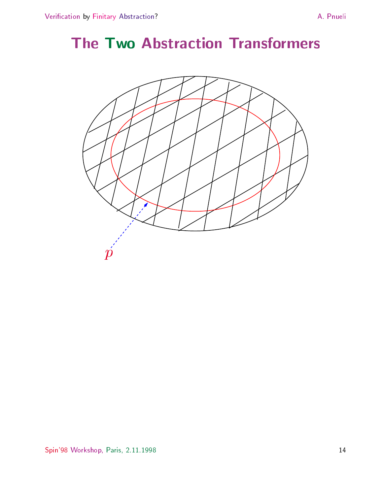# The Two Abstraction Transformers

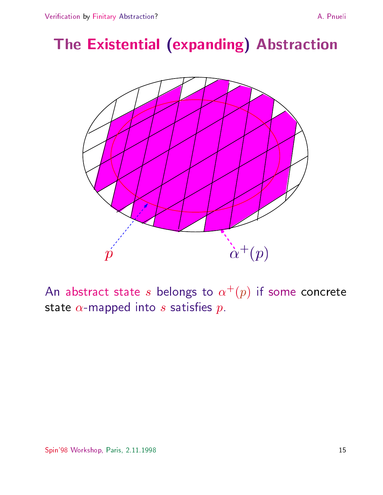# The Existential (expanding) Abstraction



An abstract state s belongs to  $\alpha^+(\bar{p})$  if some concrete state  $\alpha$ -mapped into  $s$  satisfies  $p$ .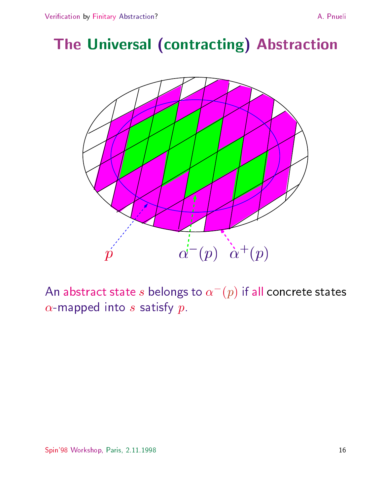# The Universal (contracting) Abstraction



An abstract state  $s$  belongs to  $\alpha$  (  $p$  ) if all concrete states  $\alpha$ -mapped into s satisfy  $p$ .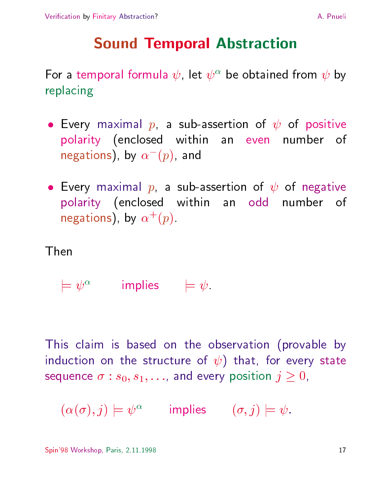# Sound Temporal Abstraction

For a temporal formula  $\psi$ , let  $\psi$  be obtained from  $\psi$  by replacing

- $\bullet$  every maximal  $p$ , a sub-assertion of  $\psi$  of positive polarity (enclosed within an even number of negations), by  $\alpha$  (  $p$ ), and
- $\bullet$  Every maximal  $p$ , a sub-assertion of  $\psi$  of negative polarity (enclosed within an odd number of  $negations$ ), by  $\alpha$  (p).

Then

 $\equiv w$  implies  $\equiv w$ 

This claim is based on the observation (provable by induction on the structure of  $\psi$ ) that, for every state sequence  $\sigma : s_0, s_1, \ldots$ , and every position  $j \geq 0$ ,

 $(\alpha(\sigma), \gamma) \models \psi^*$  implies  $(\sigma, \gamma) \models \psi.$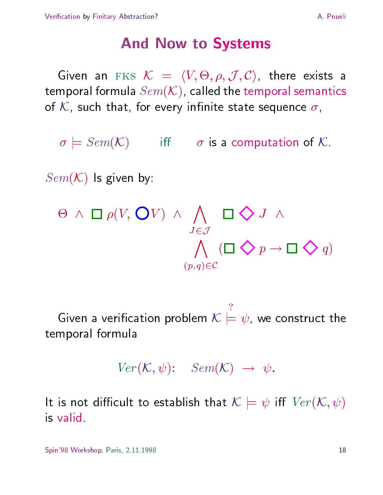#### And Now to Systems

Given an  $f(x) = \langle V, \heartsuit, \theta, J, C \rangle$  , there exists a temporal formula  $Sem(X)$ , called the temporal semantics of K, such that, for every infinite state sequence  $\sigma$ ,

 $\sigma \models \mathit{Sem}(\mathcal{K})$  iff  $\sigma$  is a computation of  $\mathcal K$ .

 $Sem(K)$  is given by:



Given a verification problem  $\mathcal{N} \models \psi$  we con  $\equiv w$ , we construct the temporal formula

 $V$ er ( $\mathcal{N}, \mathcal{W}$ ): Sem $(\mathcal{N}) \rightarrow \mathcal{W}$ .

It is not difficult to establish that  $\mathcal{K} \models \psi$  iff  $\mathit{Ver}(\mathcal{K}, \psi)$ is valid.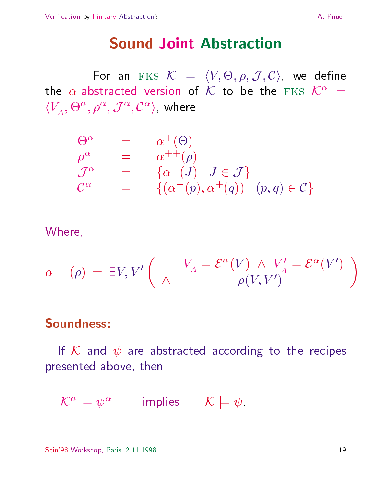#### **Sound Joint Abstraction**

For an eks  $\mathcal{N} = \{V, \Theta, \theta, J, C\}$  we define the  $\alpha$ -abstracted version of K to be the FKS  $K^{\alpha}$  =  $\langle V_A, \Theta^-, \rho^-, J^-, \mathcal{C}^-\rangle$ , where

$$
\begin{array}{rcl}\n\Theta^{\alpha} & = & \alpha^{+}(\Theta) \\
\rho^{\alpha} & = & \alpha^{++}(\rho) \\
\mathcal{J}^{\alpha} & = & \{\alpha^{+}(J) \mid J \in \mathcal{J}\} \\
\mathcal{C}^{\alpha} & = & \{(\alpha^{-}(p), \alpha^{+}(q)) \mid (p, q) \in \mathcal{C}\}\n\end{array}
$$

Where,

$$
\alpha^{++}(\rho) = \exists V, V' \left( \begin{array}{cc} V_A = \mathcal{E}^{\alpha}(V) \wedge V'_A = \mathcal{E}^{\alpha}(V') \\ \wedge & \rho(V, V') \end{array} \right)
$$

#### Soundness:

If K and  $\psi$  are abstracted according to the recipes presented above, then

 $\mathcal{L}^{\infty} \equiv \mathcal{V}^{\infty}$  implies  $\mathcal{L} \equiv \mathcal{V}$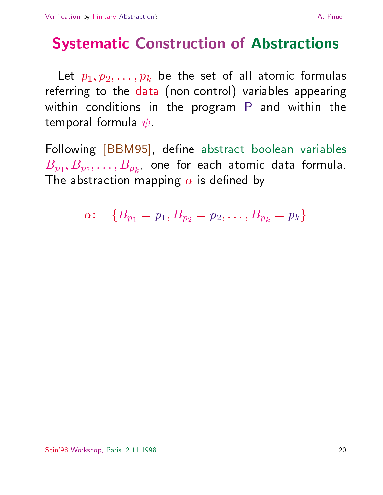# Systematic Construction of Abstractions

Let  $p_1, p_2, \ldots, p_k$  be the set of all atomic formulas referring to the data (non-control) variables appearing within conditions in the program P and within the temporal formula  $\psi$ .

Following [BBM95], define abstract boolean variables  $p_1$ ;  $p_2$ ;  $\ldots$ ;  $p_k$ ;  $\ldots$  for each atomic data formula. The abstraction mapping  $\alpha$  is defined by

$$
\alpha\colon\quad \{B_{p_1}=p_1, B_{p_2}=p_2, \ldots, B_{p_k}=p_k\}
$$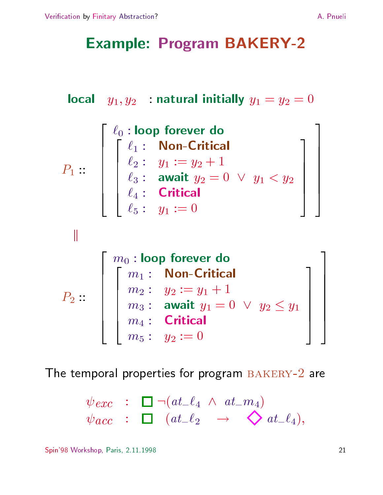## Example: Program BAKERY-2

$$
\textbf{local} \quad y_1, y_2 \quad : \textbf{natural initially } y_1 = y_2 = 0
$$

$$
P_1 :: \left[\begin{array}{cccc} \ell_0 : \text{loop forever do} \\ \begin{bmatrix} \ell_1 : & \text{Non-Critical} \\ \ell_2 : & y_1 := y_2 + 1 \\ \ell_3 : & \text{await } y_2 = 0 \ \lor \ y_1 < y_2 \\ \ell_4 : & \text{Critical} \\ \ell_5 : & y_1 := 0 \end{bmatrix} \right]
$$

 $\mathop{||}$ 

$$
P_2 :: \left[\begin{array}{cccc} m_0 : \textbf{loop forever do} \\ m_1 : & \textbf{Non-Critical} \\ m_2 : & y_2 := y_1 + 1 \\ m_3 : & \textbf{await } y_1 = 0 \ \lor \ y_2 \leq y_1 \\ m_4 : & \textbf{Critical} \\ m_5 : & y_2 := 0 \end{array}\right]
$$

The temporal properties for program BAKERY-2 are

$$
\psi_{\mathit{exc}} \quad : \quad \square \, \neg(\mathit{at}\_ \ell_4 \ \wedge \ \mathit{at}\_m_4) \\
 \psi_{\mathit{acc}} \quad : \quad \square \quad (\mathit{at}\_ \ell_2 \quad \longrightarrow \quad \diamondsuit \mathit{at}\_ \ell_4),
$$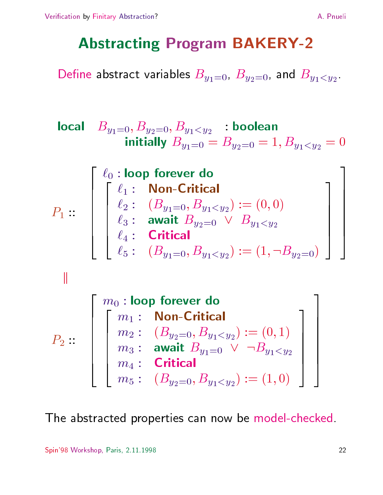### Abstracting Program BAKERY-2

 $\frac{1}{2}$  and Byz-1, Byz-1, Byz-1, Byz-1, Byz-1, Byz-1, Byz-1, Byz-1, Byz-1, Byz-1, Byz-1, Byz-1, Byz-1, Byz-1, Byz-1, Byz-1, Byz-1, Byz-1, Byz-1, Byz-1, Byz-1, Byz-1, Byz-1, Byz-1, Byz-1, Byz-1, Byz-1, Byz-1, Byz-1, Byz-

$$
\begin{array}{ll}\n\text{local} & B_{y_1=0}, B_{y_2=0}, B_{y_1
$$

$$
P_1 :: \begin{bmatrix} \ell_0 : \text{loop forever do} \\ \ell_1 : & \text{Non-Critical} \\ \ell_2 : & (B_{y_1=0}, B_{y_1
$$



$$
P_2 :: \left[\begin{array}{c} m_0 : \text{loop forever do} \\ m_1 : \text{ Non-Critical} \\ m_2 : \text{ } (B_{y_2=0}, B_{y_1
$$

The abstracted properties can now be model-checked.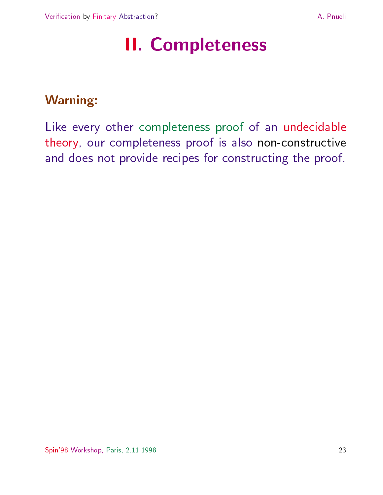# II. Completeness

#### Warning:

Like every other completeness proof of an undecidable theory, our completeness proof is also non-constructive and does not provide recipes for constructing the proof.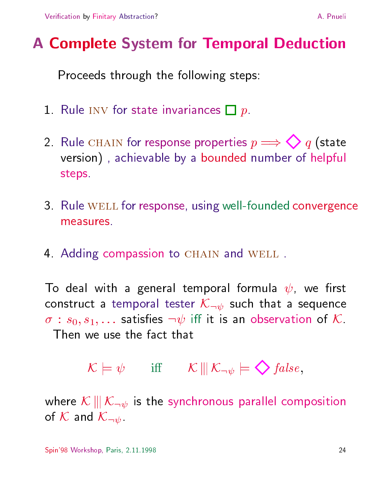# A Complete System for Temporal Deduction

Proceeds through the following steps:

- 1. Rule INV for state invariances  $\Box p$ .
- 2. Rule CHAIN for response properties  $p \Longrightarrow \bigotimes q$  (state version) , achievable by a bounded number of helpful steps.
- 3. Rule WELL for response, using well-founded convergence measures.
- 4. Adding compassion to CHAIN and WELL.

To deal with a general temporal formula  $\psi$ , we first construct a temporal tester  $\mathcal{K}_{\neg \psi}$  such that a sequence  $\sigma$  :  $s_0, s_1, \ldots$  satisfies  $\neg \psi$  iff it is an observation of  ${\cal K}$ .

we use the fact that  

$$
\mathcal{K} \models \psi \qquad \text{iff} \qquad \mathcal{K} \mid \parallel \mathcal{K}_{\neg \psi} \models \bigdiamondsuit false,
$$

where  $\mathcal{K} \parallel \!\mid \mathcal{K}_{\neg \psi}$  is the synchronous parallel composition of  $K$  and  $\mathcal{K}_{\neg \psi}$ .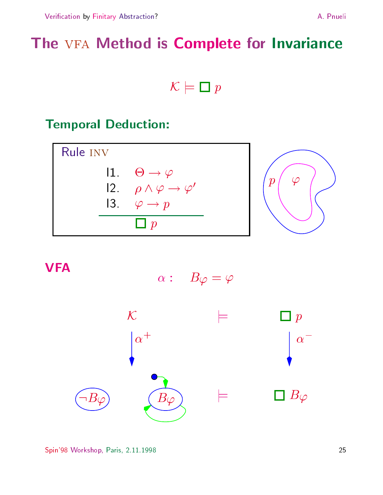# The VFA Method is Complete for Invariance



#### Temporal Deduction:



#### **VFA**

$$
\alpha: \quad B\varphi=\varphi
$$

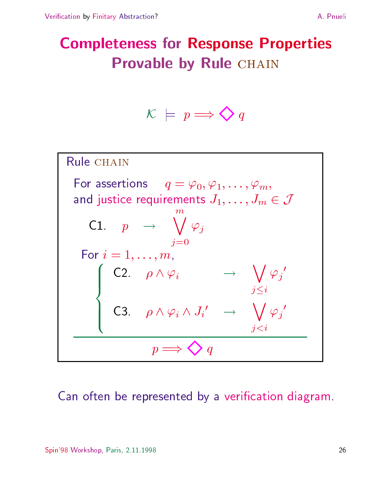# Completeness for Response Properties Provable by Rule CHAIN

$$
\mathcal{K} \ \models \ p \Longrightarrow \bigotimes q
$$



Can often be represented by a verication diagram.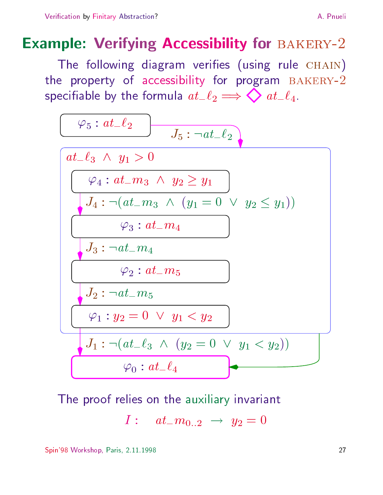### **Example: Verifying Accessibility for BAKERY-2**

The following diagram verifies (using rule  $CHAIN$ ) the property of accessibility for program BAKERY-2 specifiable by the formula  $at_2 \implies \bigotimes at_-\ell_4$ .



The proof relies on the auxiliary invariant

$$
I: \quad at_{-}m_{0..2} \ \rightarrow \ y_2=0
$$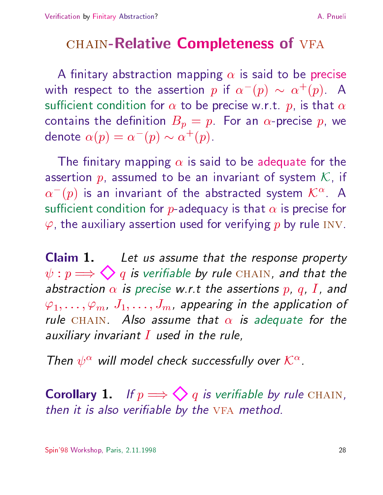### CHAIN-Relative Completeness of VFA

A finitary abstraction mapping  $\alpha$  is said to be precise with respect to the assertion  $p$  if  $\alpha$  ( $p$ )  $\sim$   $\alpha$  ( $p$ ). A sufficient condition for  $\alpha$  to be precise w.r.t. p, is that  $\alpha$ contains the definition  $B_p = p$ . For an  $\alpha$ -precise p, we denote  $\alpha(p) = \alpha^-(p) \sim \alpha^+(p)$ .

The finitary mapping  $\alpha$  is said to be adequate for the assertion  $p$ , assumed to be an invariant of system  $K$ , if  $\alpha$  (  $p$  ) is an invariant of the abstracted system  $\mathcal{K}^{\infty}.$  A  $$ sufficient condition for p-adequacy is that  $\alpha$  is precise for  $\varphi$ , the auxiliary assertion used for verifying p by rule INV.

Claim 1. Let us assume that the response property  $\psi: p \Longrightarrow \bigotimes q$  is verifiable by rule CHAIN, and that the abstraction  $\alpha$  is precise w.r.t the assertions p, q, I, and  $\varphi_1,\ldots,\varphi_m, J_1,\ldots,J_m$ , appearing in the application of rule CHAIN. Also assume that  $\alpha$  is adequate for the auxiliary invariant  $I$  used in the rule,

Then  $\psi^{\infty}$  will model check successfully over  $\mathcal{K}^{\infty}$ .

**Corollary 1.** If  $p \Longrightarrow \bigotimes q$  is verifiable by rule CHAIN, then it is also verifiable by the VFA method.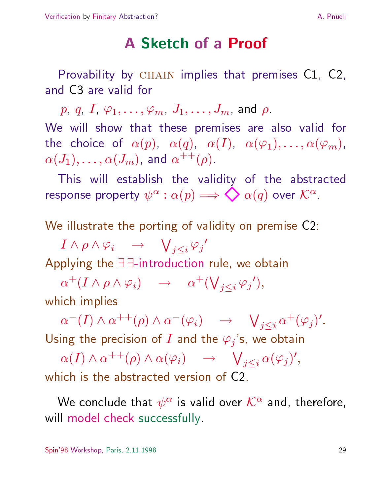### **A Sketch of a Proof**

Provability by  $CHAIN$  implies that premises  $C1$ ,  $C2$ , and C3 are valid for

 $p, q, I, \varphi_1,\ldots,\varphi_m, J_1,\ldots,J_m$ , and  $\rho$ . We will show that these premises are also valid for the choice of  $\alpha(p)$ ,  $\alpha(q)$ ,  $\alpha(I)$ ,  $\alpha(\varphi_1),\ldots,\alpha(\varphi_m)$ ,  $\alpha(J_1),\ldots,\alpha(J_m)$ , and  $\alpha^{++}(\rho)$ .

This will establish the validity of the abstracted response property  $\psi^{\infty}$  :  $\alpha(p) \implies Q(q)$  over  $\mathcal{K}^{\infty}$ .

We illustrate the porting of validity on premise C2:

 $I \wedge \rho \wedge \varphi_i \quad \rightarrow \quad \bigvee\nolimits_{j < i} \varphi_j'$ Applying the  $\exists \exists$ -introduction rule, we obtain

 $\alpha^+(I \wedge \rho \wedge \varphi_i) \quad \rightarrow \quad \alpha^+(\bigvee_{j$ which implies

 $\alpha^{-}(I) \wedge \alpha^{++}(\rho) \wedge \alpha^{-}(\varphi_i) \quad \rightarrow \quad \bigvee_{j$ Using the precision of I and the  $\varphi_j$ 's, we obtain

 $\alpha(I) \wedge \alpha^{++}(\rho) \wedge \alpha(\varphi_i) \quad \rightarrow \quad \bigvee_{j$ which is the abstracted version of C2.

We conclude that  $\psi^*$  is valid over  $\mathcal{K}^*$  and, therefore, will model check successfully.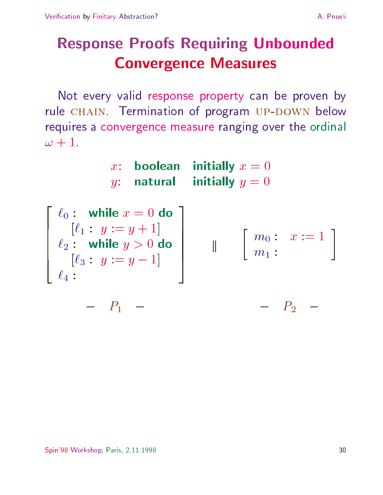# Response Proofs Requiring Unbounded Convergence Measures

Not every valid response property can be proven by rule CHAIN. Termination of program UP-DOWN below requires a convergence measure ranging over the ordinal  $\omega + 1$ .

|  | x: boolean initially $x=0$ |
|--|----------------------------|
|  | y: natural initially $y=0$ |

| $\left[\begin{array}{cc} \ell_0: & \textbf{while } x=0 \textbf{ do} \ [\ell_1: y:=y+1] \end{array}\right]$<br>$\ell_2$ : while $y > 0$ do<br>$\ell_3: y := y - 1$<br>$\ell_4$ : | $\left[\begin{array}{ccc} m_0: & x:=1\ m_1: & \end{array}\right]$ |
|---------------------------------------------------------------------------------------------------------------------------------------------------------------------------------|-------------------------------------------------------------------|
|                                                                                                                                                                                 |                                                                   |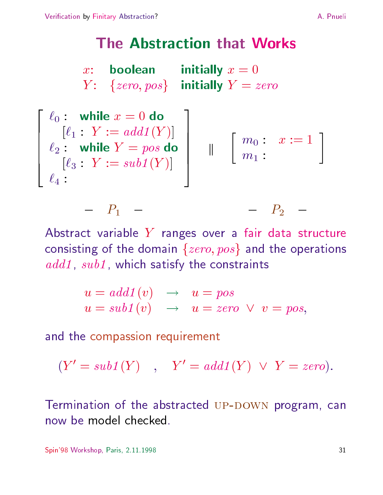### **The Abstraction that Works**

|  | x: boolean initially $x=0$              |
|--|-----------------------------------------|
|  | $Y: \{zero, pos\}$ initially $Y = zero$ |



Abstract variable  $Y$  ranges over a fair data structure consisting of the domain  $\{zero, pos\}$  and the operations additional , which satisfy the constraints are constrainted to constraint the constraints of the constraints o

$$
u = add1(v) \rightarrow u = pos
$$
  
 
$$
u = sub1(v) \rightarrow u = zero \lor v = pos,
$$

and the compassion requirement

P10 Linux and the second control of the second control of the second control of the second control of the second control of the second control of the second control of the second control of the second control of the second

$$
(Y' = sub1(Y) , Y' = add1(Y) \lor Y = zero).
$$

Termination of the abstracted UP-DOWN program, can now be model checked.